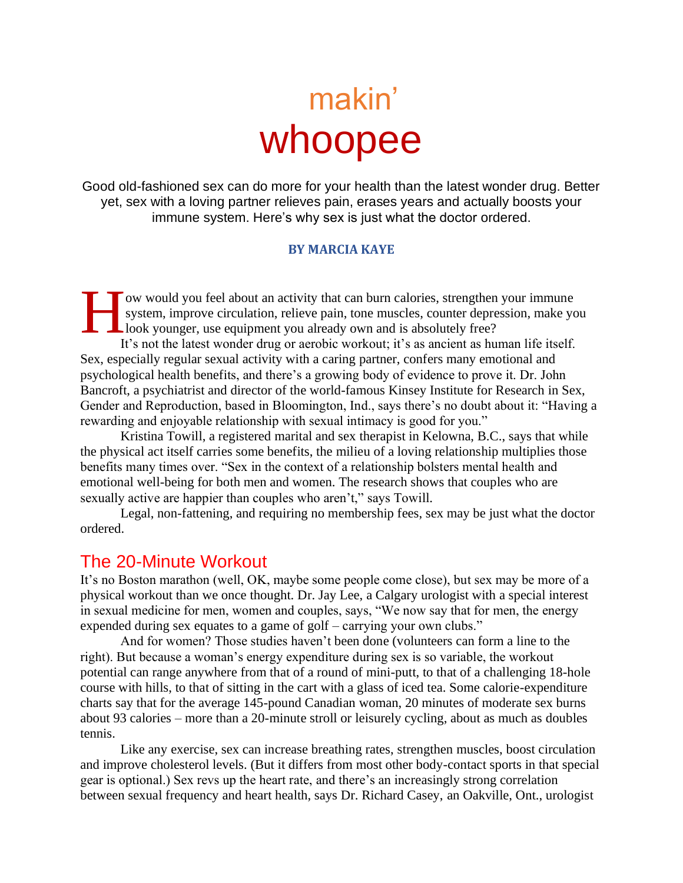# makin' whoopee

Good old-fashioned sex can do more for your health than the latest wonder drug. Better yet, sex with a loving partner relieves pain, erases years and actually boosts your immune system. Here's why sex is just what the doctor ordered.

#### **BY MARCIA KAYE**

ow would you feel about an activity that can burn calories, strengthen your immune system, improve circulation, relieve pain, tone muscles, counter depression, make you Llook younger, use equipment you already own and is absolutely free? It's not the latest wonder drug or aerobic workout; it's as ancient as human life itself. Sex, especially regular sexual activity with a caring partner, confers many emotional and psychological health benefits, and there's a growing body of evidence to prove it. Dr. John Bancroft, a psychiatrist and director of the world-famous Kinsey Institute for Research in Sex, Gender and Reproduction, based in Bloomington, Ind., says there's no doubt about it: "Having a rewarding and enjoyable relationship with sexual intimacy is good for you." H

Kristina Towill, a registered marital and sex therapist in Kelowna, B.C., says that while the physical act itself carries some benefits, the milieu of a loving relationship multiplies those benefits many times over. "Sex in the context of a relationship bolsters mental health and emotional well-being for both men and women. The research shows that couples who are sexually active are happier than couples who aren't," says Towill.

Legal, non-fattening, and requiring no membership fees, sex may be just what the doctor ordered.

#### The 20-Minute Workout

It's no Boston marathon (well, OK, maybe some people come close), but sex may be more of a physical workout than we once thought. Dr. Jay Lee, a Calgary urologist with a special interest in sexual medicine for men, women and couples, says, "We now say that for men, the energy expended during sex equates to a game of golf – carrying your own clubs."

And for women? Those studies haven't been done (volunteers can form a line to the right). But because a woman's energy expenditure during sex is so variable, the workout potential can range anywhere from that of a round of mini-putt, to that of a challenging 18-hole course with hills, to that of sitting in the cart with a glass of iced tea. Some calorie-expenditure charts say that for the average 145-pound Canadian woman, 20 minutes of moderate sex burns about 93 calories – more than a 20-minute stroll or leisurely cycling, about as much as doubles tennis.

Like any exercise, sex can increase breathing rates, strengthen muscles, boost circulation and improve cholesterol levels. (But it differs from most other body-contact sports in that special gear is optional.) Sex revs up the heart rate, and there's an increasingly strong correlation between sexual frequency and heart health, says Dr. Richard Casey, an Oakville, Ont., urologist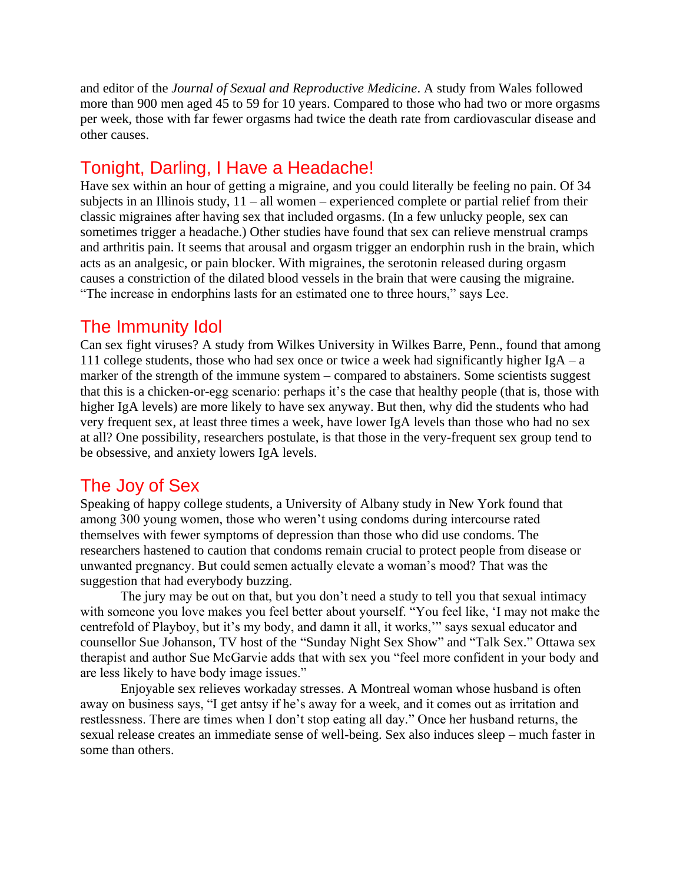and editor of the *Journal of Sexual and Reproductive Medicine*. A study from Wales followed more than 900 men aged 45 to 59 for 10 years. Compared to those who had two or more orgasms per week, those with far fewer orgasms had twice the death rate from cardiovascular disease and other causes.

# Tonight, Darling, I Have a Headache!

Have sex within an hour of getting a migraine, and you could literally be feeling no pain. Of 34 subjects in an Illinois study,  $11 - \text{all women} -$  experienced complete or partial relief from their classic migraines after having sex that included orgasms. (In a few unlucky people, sex can sometimes trigger a headache.) Other studies have found that sex can relieve menstrual cramps and arthritis pain. It seems that arousal and orgasm trigger an endorphin rush in the brain, which acts as an analgesic, or pain blocker. With migraines, the serotonin released during orgasm causes a constriction of the dilated blood vessels in the brain that were causing the migraine. "The increase in endorphins lasts for an estimated one to three hours," says Lee.

## The Immunity Idol

Can sex fight viruses? A study from Wilkes University in Wilkes Barre, Penn., found that among 111 college students, those who had sex once or twice a week had significantly higher  $IgA - a$ marker of the strength of the immune system – compared to abstainers. Some scientists suggest that this is a chicken-or-egg scenario: perhaps it's the case that healthy people (that is, those with higher IgA levels) are more likely to have sex anyway. But then, why did the students who had very frequent sex, at least three times a week, have lower IgA levels than those who had no sex at all? One possibility, researchers postulate, is that those in the very-frequent sex group tend to be obsessive, and anxiety lowers IgA levels.

# The Joy of Sex

Speaking of happy college students, a University of Albany study in New York found that among 300 young women, those who weren't using condoms during intercourse rated themselves with fewer symptoms of depression than those who did use condoms. The researchers hastened to caution that condoms remain crucial to protect people from disease or unwanted pregnancy. But could semen actually elevate a woman's mood? That was the suggestion that had everybody buzzing.

The jury may be out on that, but you don't need a study to tell you that sexual intimacy with someone you love makes you feel better about yourself. "You feel like, 'I may not make the centrefold of Playboy, but it's my body, and damn it all, it works,'" says sexual educator and counsellor Sue Johanson, TV host of the "Sunday Night Sex Show" and "Talk Sex." Ottawa sex therapist and author Sue McGarvie adds that with sex you "feel more confident in your body and are less likely to have body image issues."

Enjoyable sex relieves workaday stresses. A Montreal woman whose husband is often away on business says, "I get antsy if he's away for a week, and it comes out as irritation and restlessness. There are times when I don't stop eating all day." Once her husband returns, the sexual release creates an immediate sense of well-being. Sex also induces sleep – much faster in some than others.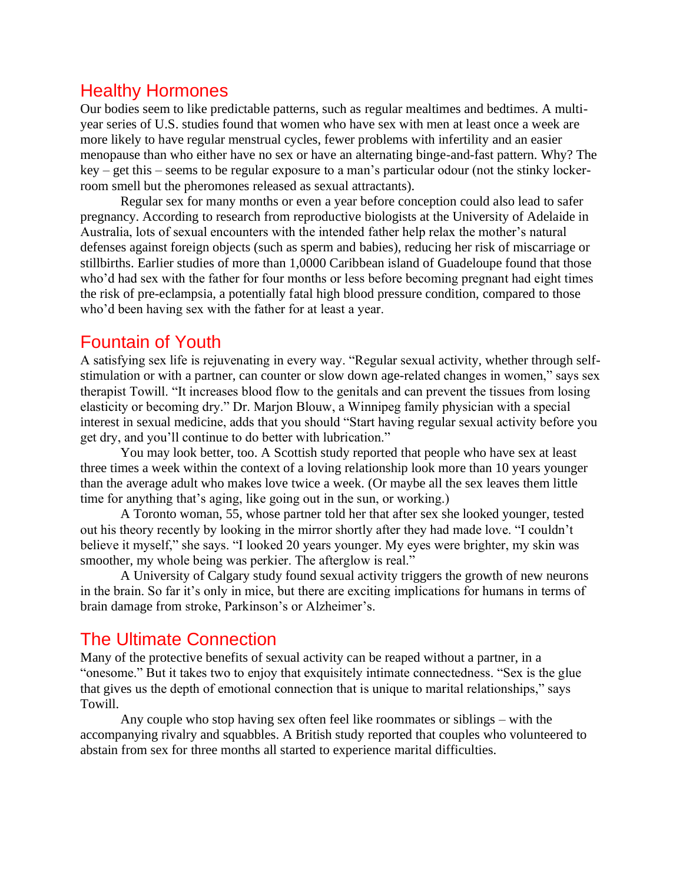#### Healthy Hormones

Our bodies seem to like predictable patterns, such as regular mealtimes and bedtimes. A multiyear series of U.S. studies found that women who have sex with men at least once a week are more likely to have regular menstrual cycles, fewer problems with infertility and an easier menopause than who either have no sex or have an alternating binge-and-fast pattern. Why? The key – get this – seems to be regular exposure to a man's particular odour (not the stinky lockerroom smell but the pheromones released as sexual attractants).

Regular sex for many months or even a year before conception could also lead to safer pregnancy. According to research from reproductive biologists at the University of Adelaide in Australia, lots of sexual encounters with the intended father help relax the mother's natural defenses against foreign objects (such as sperm and babies), reducing her risk of miscarriage or stillbirths. Earlier studies of more than 1,0000 Caribbean island of Guadeloupe found that those who'd had sex with the father for four months or less before becoming pregnant had eight times the risk of pre-eclampsia, a potentially fatal high blood pressure condition, compared to those who'd been having sex with the father for at least a year.

## Fountain of Youth

A satisfying sex life is rejuvenating in every way. "Regular sexual activity, whether through selfstimulation or with a partner, can counter or slow down age-related changes in women," says sex therapist Towill. "It increases blood flow to the genitals and can prevent the tissues from losing elasticity or becoming dry." Dr. Marjon Blouw, a Winnipeg family physician with a special interest in sexual medicine, adds that you should "Start having regular sexual activity before you get dry, and you'll continue to do better with lubrication."

You may look better, too. A Scottish study reported that people who have sex at least three times a week within the context of a loving relationship look more than 10 years younger than the average adult who makes love twice a week. (Or maybe all the sex leaves them little time for anything that's aging, like going out in the sun, or working.)

A Toronto woman, 55, whose partner told her that after sex she looked younger, tested out his theory recently by looking in the mirror shortly after they had made love. "I couldn't believe it myself," she says. "I looked 20 years younger. My eyes were brighter, my skin was smoother, my whole being was perkier. The afterglow is real."

A University of Calgary study found sexual activity triggers the growth of new neurons in the brain. So far it's only in mice, but there are exciting implications for humans in terms of brain damage from stroke, Parkinson's or Alzheimer's.

#### The Ultimate Connection

Many of the protective benefits of sexual activity can be reaped without a partner, in a "onesome." But it takes two to enjoy that exquisitely intimate connectedness. "Sex is the glue that gives us the depth of emotional connection that is unique to marital relationships," says Towill.

Any couple who stop having sex often feel like roommates or siblings – with the accompanying rivalry and squabbles. A British study reported that couples who volunteered to abstain from sex for three months all started to experience marital difficulties.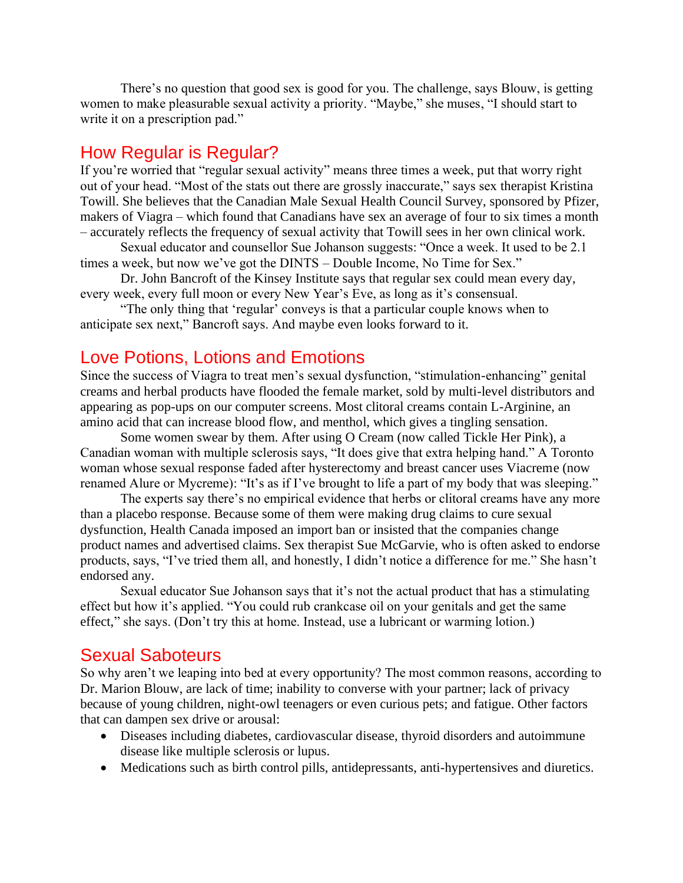There's no question that good sex is good for you. The challenge, says Blouw, is getting women to make pleasurable sexual activity a priority. "Maybe," she muses, "I should start to write it on a prescription pad."

#### How Regular is Regular?

If you're worried that "regular sexual activity" means three times a week, put that worry right out of your head. "Most of the stats out there are grossly inaccurate," says sex therapist Kristina Towill. She believes that the Canadian Male Sexual Health Council Survey, sponsored by Pfizer, makers of Viagra – which found that Canadians have sex an average of four to six times a month – accurately reflects the frequency of sexual activity that Towill sees in her own clinical work.

Sexual educator and counsellor Sue Johanson suggests: "Once a week. It used to be 2.1 times a week, but now we've got the DINTS – Double Income, No Time for Sex."

Dr. John Bancroft of the Kinsey Institute says that regular sex could mean every day, every week, every full moon or every New Year's Eve, as long as it's consensual.

"The only thing that 'regular' conveys is that a particular couple knows when to anticipate sex next," Bancroft says. And maybe even looks forward to it.

#### Love Potions, Lotions and Emotions

Since the success of Viagra to treat men's sexual dysfunction, "stimulation-enhancing" genital creams and herbal products have flooded the female market, sold by multi-level distributors and appearing as pop-ups on our computer screens. Most clitoral creams contain L-Arginine, an amino acid that can increase blood flow, and menthol, which gives a tingling sensation.

Some women swear by them. After using O Cream (now called Tickle Her Pink), a Canadian woman with multiple sclerosis says, "It does give that extra helping hand." A Toronto woman whose sexual response faded after hysterectomy and breast cancer uses Viacreme (now renamed Alure or Mycreme): "It's as if I've brought to life a part of my body that was sleeping."

The experts say there's no empirical evidence that herbs or clitoral creams have any more than a placebo response. Because some of them were making drug claims to cure sexual dysfunction, Health Canada imposed an import ban or insisted that the companies change product names and advertised claims. Sex therapist Sue McGarvie, who is often asked to endorse products, says, "I've tried them all, and honestly, I didn't notice a difference for me." She hasn't endorsed any.

Sexual educator Sue Johanson says that it's not the actual product that has a stimulating effect but how it's applied. "You could rub crankcase oil on your genitals and get the same effect," she says. (Don't try this at home. Instead, use a lubricant or warming lotion.)

#### Sexual Saboteurs

So why aren't we leaping into bed at every opportunity? The most common reasons, according to Dr. Marion Blouw, are lack of time; inability to converse with your partner; lack of privacy because of young children, night-owl teenagers or even curious pets; and fatigue. Other factors that can dampen sex drive or arousal:

- Diseases including diabetes, cardiovascular disease, thyroid disorders and autoimmune disease like multiple sclerosis or lupus.
- Medications such as birth control pills, antidepressants, anti-hypertensives and diuretics.